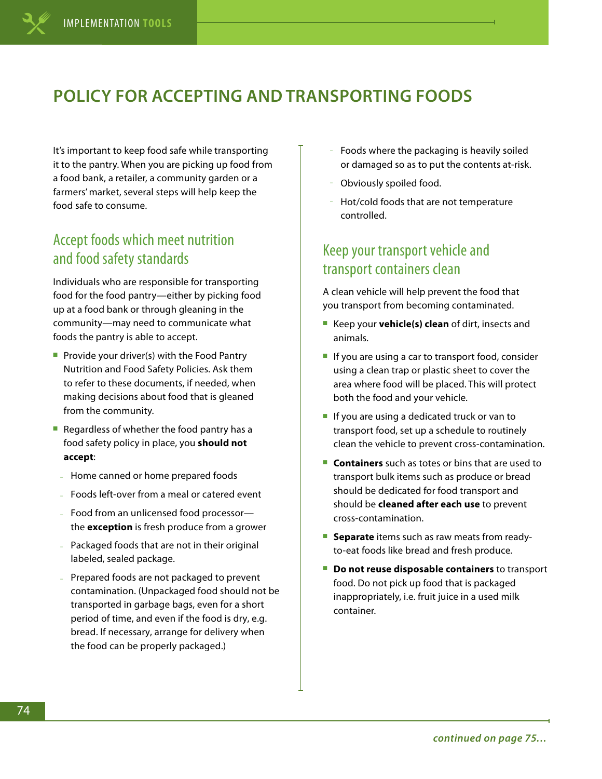# **POLICY FOR ACCEPTING AND TRANSPORTING FOODS**

It's important to keep food safe while transporting it to the pantry. When you are picking up food from a food bank, a retailer, a community garden or a farmers' market, several steps will help keep the food safe to consume.

## Accept foods which meet nutrition and food safety standards

Individuals who are responsible for transporting food for the food pantry—either by picking food up at a food bank or through gleaning in the community—may need to communicate what foods the pantry is able to accept.

- Provide your driver(s) with the Food Pantry Nutrition and Food Safety Policies. Ask them to refer to these documents, if needed, when making decisions about food that is gleaned from the community.
- Regardless of whether the food pantry has a food safety policy in place, you **should not accept**:
- Home canned or home prepared foods
- Foods left-over from a meal or catered event
- Food from an unlicensed food processor the **exception** is fresh produce from a grower
- Packaged foods that are not in their original labeled, sealed package.
- Prepared foods are not packaged to prevent contamination. (Unpackaged food should not be transported in garbage bags, even for a short period of time, and even if the food is dry, e.g. bread. If necessary, arrange for delivery when the food can be properly packaged.)
- Foods where the packaging is heavily soiled or damaged so as to put the contents at-risk.
- Obviously spoiled food.
- Hot/cold foods that are not temperature controlled.

## Keep your transport vehicle and transport containers clean

A clean vehicle will help prevent the food that you transport from becoming contaminated.

- Keep your **vehicle(s) clean** of dirt, insects and animals.
- If you are using a car to transport food, consider using a clean trap or plastic sheet to cover the area where food will be placed. This will protect both the food and your vehicle.
- If you are using a dedicated truck or van to transport food, set up a schedule to routinely clean the vehicle to prevent cross-contamination.
- **Containers** such as totes or bins that are used to transport bulk items such as produce or bread should be dedicated for food transport and should be **cleaned after each use** to prevent cross-contamination.
- **Separate** items such as raw meats from readyto-eat foods like bread and fresh produce.
- **Do not reuse disposable containers** to transport food. Do not pick up food that is packaged inappropriately, i.e. fruit juice in a used milk container.